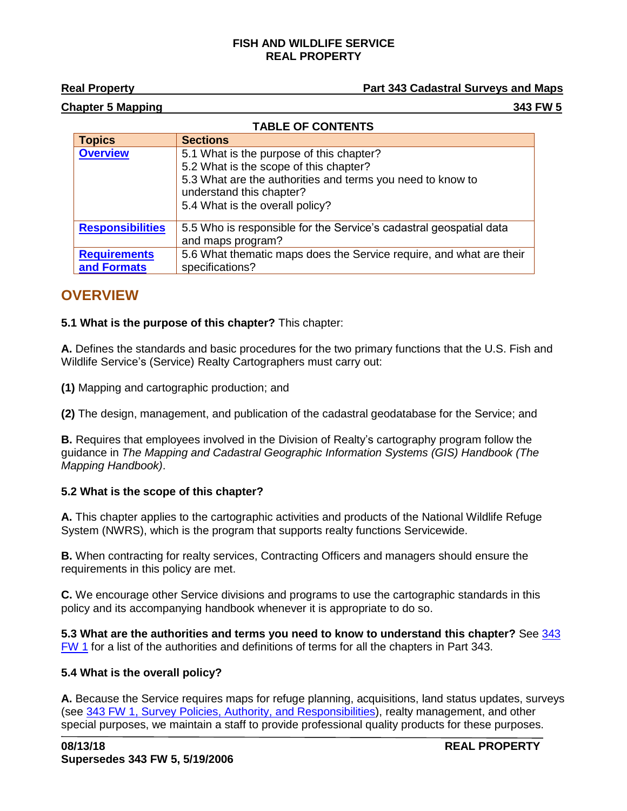#### **FISH AND WILDLIFE SERVICE REAL PROPERTY**

## **Real Property Part 343 Cadastral Surveys and Maps**

#### **Chapter 5 Mapping 343 FW 5**

|  | <b>TABLE OF CONTENTS</b> |  |
|--|--------------------------|--|
|  |                          |  |

| <b>Topics</b>                      | <b>Sections</b>                                                                                                                                                                                                 |
|------------------------------------|-----------------------------------------------------------------------------------------------------------------------------------------------------------------------------------------------------------------|
| <b>Overview</b>                    | 5.1 What is the purpose of this chapter?<br>5.2 What is the scope of this chapter?<br>5.3 What are the authorities and terms you need to know to<br>understand this chapter?<br>5.4 What is the overall policy? |
| <b>Responsibilities</b>            | 5.5 Who is responsible for the Service's cadastral geospatial data<br>and maps program?                                                                                                                         |
| <b>Requirements</b><br>and Formats | 5.6 What thematic maps does the Service require, and what are their<br>specifications?                                                                                                                          |

# <span id="page-0-0"></span>**OVERVIEW**

## **5.1 What is the purpose of this chapter?** This chapter:

**A.** Defines the standards and basic procedures for the two primary functions that the U.S. Fish and Wildlife Service's (Service) Realty Cartographers must carry out:

**(1)** Mapping and cartographic production; and

**(2)** The design, management, and publication of the cadastral geodatabase for the Service; and

**B.** Requires that employees involved in the Division of Realty's cartography program follow the guidance in *The Mapping and Cadastral Geographic Information Systems (GIS) Handbook (The Mapping Handbook)*.

## **5.2 What is the scope of this chapter?**

**A.** This chapter applies to the cartographic activities and products of the National Wildlife Refuge System (NWRS), which is the program that supports realty functions Servicewide.

**B.** When contracting for realty services, Contracting Officers and managers should ensure the requirements in this policy are met.

**C.** We encourage other Service divisions and programs to use the cartographic standards in this policy and its accompanying handbook whenever it is appropriate to do so.

**5.3 What are the authorities and terms you need to know to understand this chapter?** See [343](https://www.fws.gov/policy/343fw1.html)  [FW 1](https://www.fws.gov/policy/343fw1.html) for a list of the authorities and definitions of terms for all the chapters in Part 343.

## **5.4 What is the overall policy?**

**A.** Because the Service requires maps for refuge planning, acquisitions, land status updates, surveys (see [343 FW 1, Survey Policies, Authority,](https://www.fws.gov/policy/343fw1.html) and Responsibilities), realty management, and other special purposes, we maintain a staff to provide professional quality products for these purposes.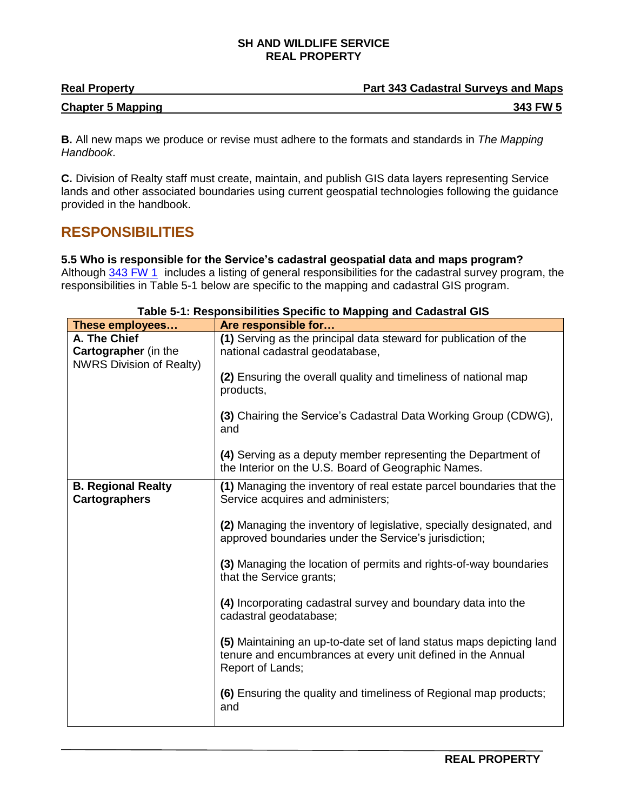#### **SH AND WILDLIFE SERVICE REAL PROPERTY**

| <b>Real Property</b>     | <b>Part 343 Cadastral Surveys and Maps</b> |
|--------------------------|--------------------------------------------|
| <b>Chapter 5 Mapping</b> | 343 FW 5                                   |

**B.** All new maps we produce or revise must adhere to the formats and standards in *The Mapping Handbook*.

**C.** Division of Realty staff must create, maintain, and publish GIS data layers representing Service lands and other associated boundaries using current geospatial technologies following the guidance provided in the handbook.

# <span id="page-1-0"></span>**RESPONSIBILITIES**

**5.5 Who is responsible for the Service's cadastral geospatial data and maps program?**  Although [343 FW 1](https://www.fws.gov/policy/343fw1.html) includes a listing of general responsibilities for the cadastral survey program, the responsibilities in Table 5-1 below are specific to the mapping and cadastral GIS program.

| These employees                                                                | Are responsible for                                                                                                                                     |
|--------------------------------------------------------------------------------|---------------------------------------------------------------------------------------------------------------------------------------------------------|
| A. The Chief<br><b>Cartographer</b> (in the<br><b>NWRS Division of Realty)</b> | (1) Serving as the principal data steward for publication of the<br>national cadastral geodatabase,                                                     |
|                                                                                | (2) Ensuring the overall quality and timeliness of national map<br>products,                                                                            |
|                                                                                | (3) Chairing the Service's Cadastral Data Working Group (CDWG),<br>and                                                                                  |
|                                                                                | (4) Serving as a deputy member representing the Department of<br>the Interior on the U.S. Board of Geographic Names.                                    |
| <b>B. Regional Realty</b><br><b>Cartographers</b>                              | (1) Managing the inventory of real estate parcel boundaries that the<br>Service acquires and administers;                                               |
|                                                                                | (2) Managing the inventory of legislative, specially designated, and<br>approved boundaries under the Service's jurisdiction;                           |
|                                                                                | (3) Managing the location of permits and rights-of-way boundaries<br>that the Service grants;                                                           |
|                                                                                | (4) Incorporating cadastral survey and boundary data into the<br>cadastral geodatabase;                                                                 |
|                                                                                | (5) Maintaining an up-to-date set of land status maps depicting land<br>tenure and encumbrances at every unit defined in the Annual<br>Report of Lands; |
|                                                                                | (6) Ensuring the quality and timeliness of Regional map products;<br>and                                                                                |

#### **Table 5-1: Responsibilities Specific to Mapping and Cadastral GIS**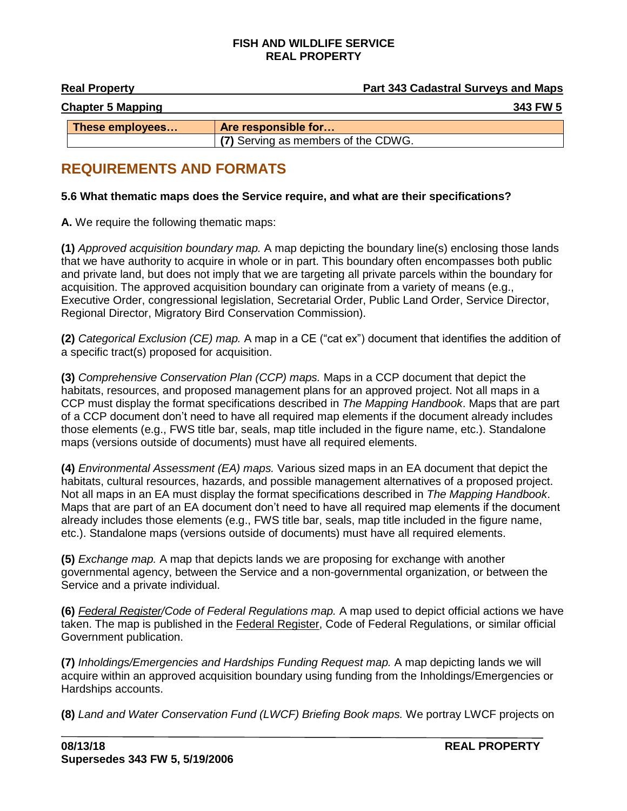#### **FISH AND WILDLIFE SERVICE REAL PROPERTY**

| <b>Real Property</b>     | <b>Part 343 Cadastral Surveys and Maps</b> |
|--------------------------|--------------------------------------------|
| <b>Chapter 5 Mapping</b> | 343 FW 5                                   |
| These employees          | Are responsible for                        |
|                          | (7) Serving as members of the CDWG.        |

# **REQUIREMENTS AND FORMATS**

## <span id="page-2-0"></span>**5.6 What thematic maps does the Service require, and what are their specifications?**

**A.** We require the following thematic maps:

**(1)** *Approved acquisition boundary map.* A map depicting the boundary line(s) enclosing those lands that we have authority to acquire in whole or in part. This boundary often encompasses both public and private land, but does not imply that we are targeting all private parcels within the boundary for acquisition. The approved acquisition boundary can originate from a variety of means (e.g., Executive Order, congressional legislation, Secretarial Order, Public Land Order, Service Director, Regional Director, Migratory Bird Conservation Commission).

**(2)** *Categorical Exclusion (CE) map.* A map in a CE ("cat ex") document that identifies the addition of a specific tract(s) proposed for acquisition.

**(3)** *Comprehensive Conservation Plan (CCP) maps.* Maps in a CCP document that depict the habitats, resources, and proposed management plans for an approved project. Not all maps in a CCP must display the format specifications described in *The Mapping Handbook*. Maps that are part of a CCP document don't need to have all required map elements if the document already includes those elements (e.g., FWS title bar, seals, map title included in the figure name, etc.). Standalone maps (versions outside of documents) must have all required elements.

**(4)** *Environmental Assessment (EA) maps.* Various sized maps in an EA document that depict the habitats, cultural resources, hazards, and possible management alternatives of a proposed project. Not all maps in an EA must display the format specifications described in *The Mapping Handbook*. Maps that are part of an EA document don't need to have all required map elements if the document already includes those elements (e.g., FWS title bar, seals, map title included in the figure name, etc.). Standalone maps (versions outside of documents) must have all required elements.

**(5)** *Exchange map.* A map that depicts lands we are proposing for exchange with another governmental agency, between the Service and a non-governmental organization, or between the Service and a private individual.

**(6)** *Federal Register/Code of Federal Regulations map.* A map used to depict official actions we have taken. The map is published in the Federal Register, Code of Federal Regulations, or similar official Government publication.

**(7)** *Inholdings/Emergencies and Hardships Funding Request map.* A map depicting lands we will acquire within an approved acquisition boundary using funding from the Inholdings/Emergencies or Hardships accounts.

**(8)** *Land and Water Conservation Fund (LWCF) Briefing Book maps.* We portray LWCF projects on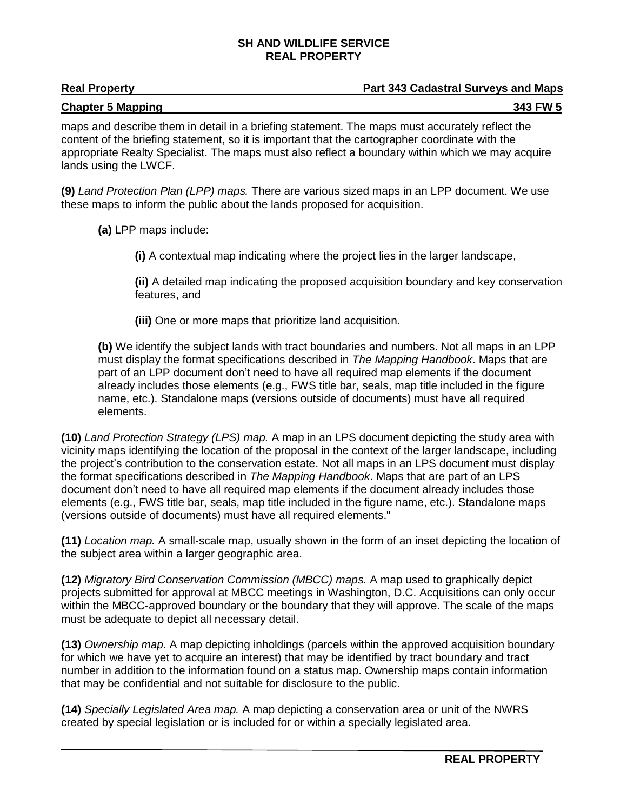#### **SH AND WILDLIFE SERVICE REAL PROPERTY**

## **Real Property Part 343 Cadastral Surveys and Maps**

# **Chapter 5 Mapping 343 FW 5**

maps and describe them in detail in a briefing statement. The maps must accurately reflect the content of the briefing statement, so it is important that the cartographer coordinate with the appropriate Realty Specialist. The maps must also reflect a boundary within which we may acquire lands using the LWCF.

**(9)** *Land Protection Plan (LPP) maps.* There are various sized maps in an LPP document. We use these maps to inform the public about the lands proposed for acquisition.

**(a)** LPP maps include:

**(i)** A contextual map indicating where the project lies in the larger landscape,

**(ii)** A detailed map indicating the proposed acquisition boundary and key conservation features, and

**(iii)** One or more maps that prioritize land acquisition.

**(b)** We identify the subject lands with tract boundaries and numbers. Not all maps in an LPP must display the format specifications described in *The Mapping Handbook*. Maps that are part of an LPP document don't need to have all required map elements if the document already includes those elements (e.g., FWS title bar, seals, map title included in the figure name, etc.). Standalone maps (versions outside of documents) must have all required elements.

**(10)** *Land Protection Strategy (LPS) map.* A map in an LPS document depicting the study area with vicinity maps identifying the location of the proposal in the context of the larger landscape, including the project's contribution to the conservation estate. Not all maps in an LPS document must display the format specifications described in *The Mapping Handbook*. Maps that are part of an LPS document don't need to have all required map elements if the document already includes those elements (e.g., FWS title bar, seals, map title included in the figure name, etc.). Standalone maps (versions outside of documents) must have all required elements."

**(11)** *Location map.* A small-scale map, usually shown in the form of an inset depicting the location of the subject area within a larger geographic area.

**(12)** *Migratory Bird Conservation Commission (MBCC) maps.* A map used to graphically depict projects submitted for approval at MBCC meetings in Washington, D.C. Acquisitions can only occur within the MBCC-approved boundary or the boundary that they will approve. The scale of the maps must be adequate to depict all necessary detail.

**(13)** *Ownership map.* A map depicting inholdings (parcels within the approved acquisition boundary for which we have yet to acquire an interest) that may be identified by tract boundary and tract number in addition to the information found on a status map. Ownership maps contain information that may be confidential and not suitable for disclosure to the public.

**(14)** *Specially Legislated Area map.* A map depicting a conservation area or unit of the NWRS created by special legislation or is included for or within a specially legislated area.